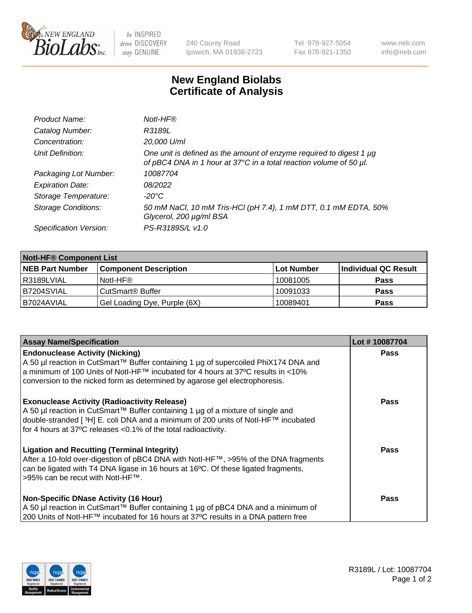

 $be$  INSPIRED drive DISCOVERY stay GENUINE

240 County Road Ipswich, MA 01938-2723 Tel 978-927-5054 Fax 978-921-1350 www.neb.com info@neb.com

## **New England Biolabs Certificate of Analysis**

| Product Name:              | Notl-HF®                                                                                                                                  |
|----------------------------|-------------------------------------------------------------------------------------------------------------------------------------------|
| Catalog Number:            | R3189L                                                                                                                                    |
| Concentration:             | 20,000 U/ml                                                                                                                               |
| Unit Definition:           | One unit is defined as the amount of enzyme required to digest 1 µg<br>of pBC4 DNA in 1 hour at 37°C in a total reaction volume of 50 µl. |
| Packaging Lot Number:      | 10087704                                                                                                                                  |
| <b>Expiration Date:</b>    | 08/2022                                                                                                                                   |
| Storage Temperature:       | $-20^{\circ}$ C                                                                                                                           |
| <b>Storage Conditions:</b> | 50 mM NaCl, 10 mM Tris-HCl (pH 7.4), 1 mM DTT, 0.1 mM EDTA, 50%<br>Glycerol, 200 µg/ml BSA                                                |
| Specification Version:     | PS-R3189S/L v1.0                                                                                                                          |

| <b>Notl-HF® Component List</b> |                              |            |                      |  |  |
|--------------------------------|------------------------------|------------|----------------------|--|--|
| <b>NEB Part Number</b>         | <b>Component Description</b> | Lot Number | Individual QC Result |  |  |
| R3189LVIAL                     | Notl-HF®                     | 10081005   | <b>Pass</b>          |  |  |
| B7204SVIAL                     | CutSmart <sup>®</sup> Buffer | 10091033   | <b>Pass</b>          |  |  |
| B7024AVIAL                     | Gel Loading Dye, Purple (6X) | 10089401   | <b>Pass</b>          |  |  |

| <b>Assay Name/Specification</b>                                                                                                                                                                                                                                                                              | Lot #10087704 |
|--------------------------------------------------------------------------------------------------------------------------------------------------------------------------------------------------------------------------------------------------------------------------------------------------------------|---------------|
| <b>Endonuclease Activity (Nicking)</b><br>  A 50 µl reaction in CutSmart™ Buffer containing 1 µg of supercoiled PhiX174 DNA and                                                                                                                                                                              | <b>Pass</b>   |
| a minimum of 100 Units of Notl-HF™ incubated for 4 hours at 37°C results in <10%<br>conversion to the nicked form as determined by agarose gel electrophoresis.                                                                                                                                              |               |
| <b>Exonuclease Activity (Radioactivity Release)</b><br>  A 50 µl reaction in CutSmart™ Buffer containing 1 µg of a mixture of single and<br>double-stranded [ <sup>3</sup> H] E. coli DNA and a minimum of 200 units of Notl-HF™ incubated<br>for 4 hours at 37°C releases <0.1% of the total radioactivity. | Pass          |
| <b>Ligation and Recutting (Terminal Integrity)</b><br>After a 10-fold over-digestion of pBC4 DNA with Notl-HF™, >95% of the DNA fragments<br>can be ligated with T4 DNA ligase in 16 hours at 16 <sup>o</sup> C. Of these ligated fragments,<br>1>95% can be recut with NotI-HF™.                            | Pass          |
| <b>Non-Specific DNase Activity (16 Hour)</b>                                                                                                                                                                                                                                                                 | <b>Pass</b>   |
| A 50 µl reaction in CutSmart™ Buffer containing 1 µg of pBC4 DNA and a minimum of<br>200 Units of Notl-HF™ incubated for 16 hours at 37°C results in a DNA pattern free                                                                                                                                      |               |